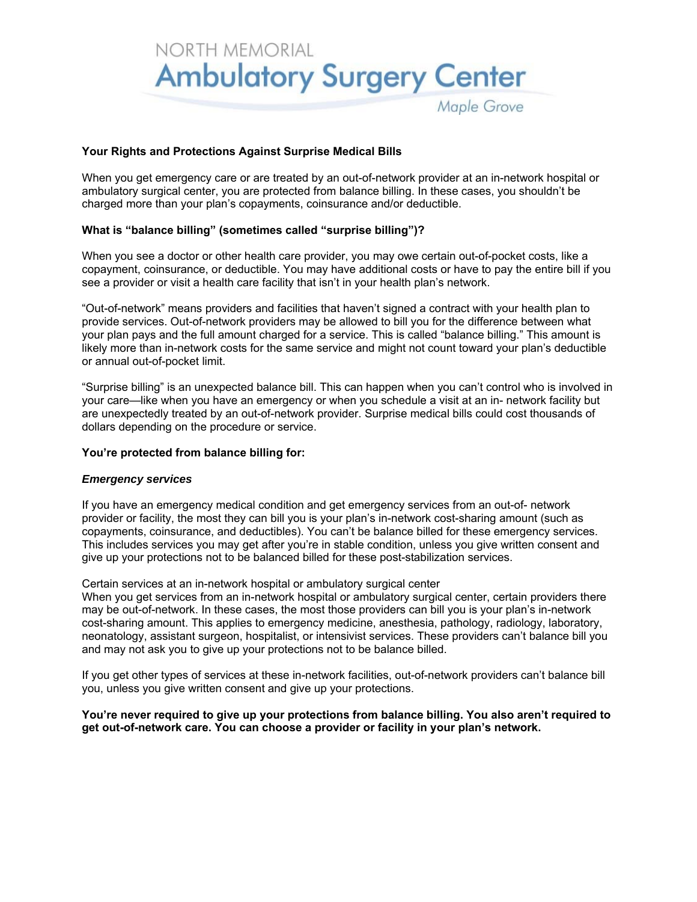

## **Your Rights and Protections Against Surprise Medical Bills**

When you get emergency care or are treated by an out-of-network provider at an in-network hospital or ambulatory surgical center, you are protected from balance billing. In these cases, you shouldn't be charged more than your plan's copayments, coinsurance and/or deductible.

### **What is "balance billing" (sometimes called "surprise billing")?**

When you see a doctor or other health care provider, you may owe certain out-of-pocket costs, like a copayment, coinsurance, or deductible. You may have additional costs or have to pay the entire bill if you see a provider or visit a health care facility that isn't in your health plan's network.

"Out-of-network" means providers and facilities that haven't signed a contract with your health plan to provide services. Out-of-network providers may be allowed to bill you for the difference between what your plan pays and the full amount charged for a service. This is called "balance billing." This amount is likely more than in-network costs for the same service and might not count toward your plan's deductible or annual out-of-pocket limit.

"Surprise billing" is an unexpected balance bill. This can happen when you can't control who is involved in your care—like when you have an emergency or when you schedule a visit at an in- network facility but are unexpectedly treated by an out-of-network provider. Surprise medical bills could cost thousands of dollars depending on the procedure or service.

#### **You're protected from balance billing for:**

#### *Emergency services*

If you have an emergency medical condition and get emergency services from an out-of- network provider or facility, the most they can bill you is your plan's in-network cost-sharing amount (such as copayments, coinsurance, and deductibles). You can't be balance billed for these emergency services. This includes services you may get after you're in stable condition, unless you give written consent and give up your protections not to be balanced billed for these post-stabilization services.

Certain services at an in-network hospital or ambulatory surgical center

When you get services from an in-network hospital or ambulatory surgical center, certain providers there may be out-of-network. In these cases, the most those providers can bill you is your plan's in-network cost-sharing amount. This applies to emergency medicine, anesthesia, pathology, radiology, laboratory, neonatology, assistant surgeon, hospitalist, or intensivist services. These providers can't balance bill you and may not ask you to give up your protections not to be balance billed.

If you get other types of services at these in-network facilities, out-of-network providers can't balance bill you, unless you give written consent and give up your protections.

**You're never required to give up your protections from balance billing. You also aren't required to get out-of-network care. You can choose a provider or facility in your plan's network.**